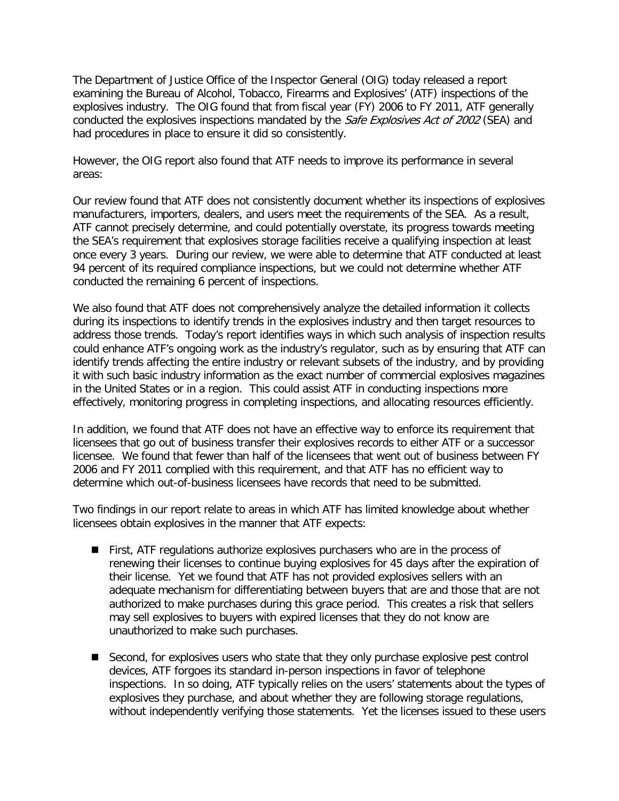The Department of Justice Office of the Inspector General (OIG) today released a report examining the Bureau of Alcohol, Tobacco, Firearms and Explosives' (ATF) inspections of the explosives industry. The OIG found that from fiscal year (FY) 2006 to FY 2011, ATF generally conducted the explosives inspections mandated by the Safe Explosives Act of 2002 (SEA) and had procedures in place to ensure it did so consistently.

However, the OIG report also found that ATF needs to improve its performance in several areas:

Our review found that ATF does not consistently document whether its inspections of explosives manufacturers, importers, dealers, and users meet the requirements of the SEA. As a result, ATF cannot precisely determine, and could potentially overstate, its progress towards meeting the SEA's requirement that explosives storage facilities receive a qualifying inspection at least once every 3 years. During our review, we were able to determine that ATF conducted at least 94 percent of its required compliance inspections, but we could not determine whether ATF conducted the remaining 6 percent of inspections.

We also found that ATF does not comprehensively analyze the detailed information it collects during its inspections to identify trends in the explosives industry and then target resources to address those trends. Today's report identifies ways in which such analysis of inspection results could enhance ATF's ongoing work as the industry's regulator, such as by ensuring that ATF can identify trends affecting the entire industry or relevant subsets of the industry, and by providing it with such basic industry information as the exact number of commercial explosives magazines in the United States or in a region. This could assist ATF in conducting inspections more effectively, monitoring progress in completing inspections, and allocating resources efficiently.

In addition, we found that ATF does not have an effective way to enforce its requirement that licensees that go out of business transfer their explosives records to either ATF or a successor licensee. We found that fewer than half of the licensees that went out of business between FY 2006 and FY 2011 complied with this requirement, and that ATF has no efficient way to determine which out-of-business licensees have records that need to be submitted.

Two findings in our report relate to areas in which ATF has limited knowledge about whether licensees obtain explosives in the manner that ATF expects:

- First, ATF regulations authorize explosives purchasers who are in the process of renewing their licenses to continue buying explosives for 45 days after the expiration of their license. Yet we found that ATF has not provided explosives sellers with an adequate mechanism for differentiating between buyers that are and those that are not authorized to make purchases during this grace period. This creates a risk that sellers may sell explosives to buyers with expired licenses that they do not know are unauthorized to make such purchases.
- Second, for explosives users who state that they only purchase explosive pest control devices, ATF forgoes its standard in-person inspections in favor of telephone inspections. In so doing, ATF typically relies on the users' statements about the types of explosives they purchase, and about whether they are following storage regulations, without independently verifying those statements. Yet the licenses issued to these users